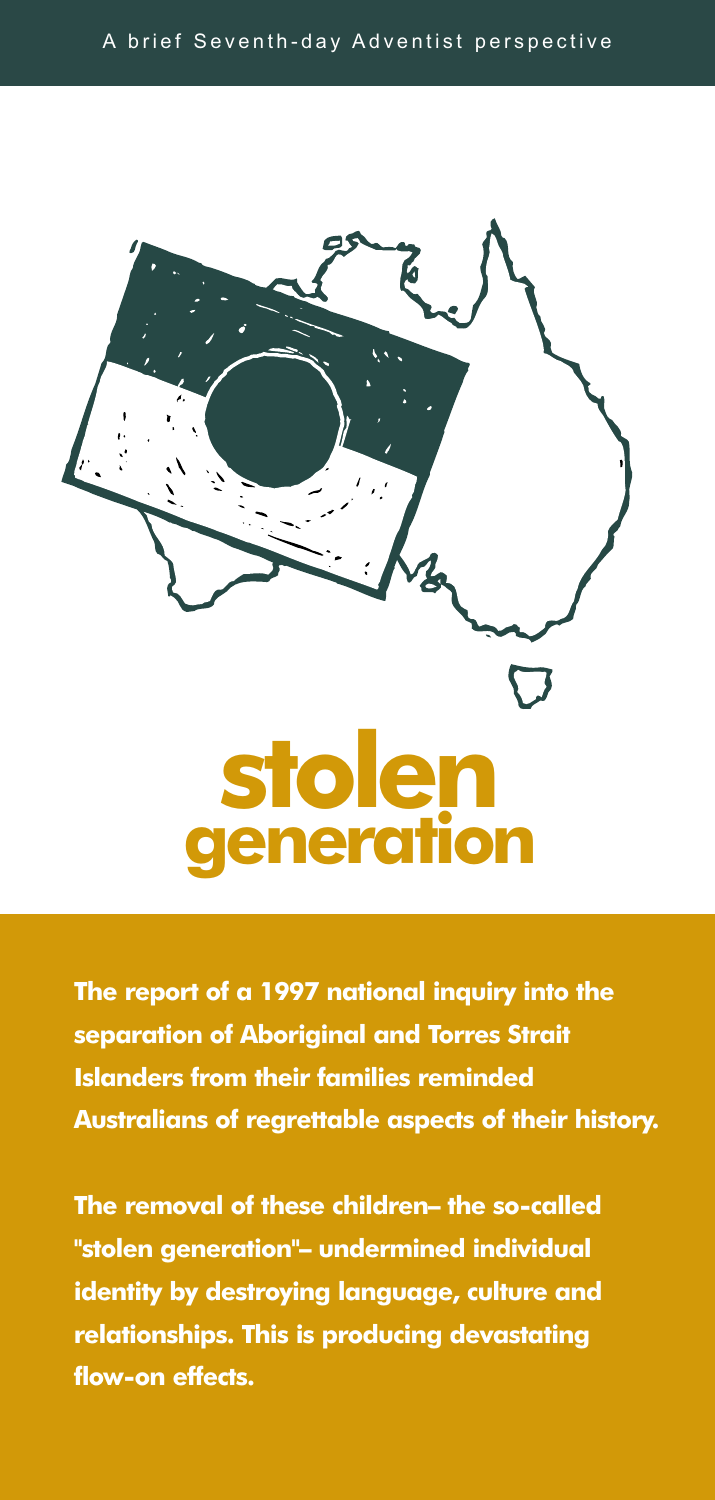

**The report of a 1997 national inquiry into the separation of Aboriginal and Torres Strait Islanders from their families reminded Australians of regrettable aspects of their history.**

**The removal of these children– the so-called "stolen generation"– undermined individual identity by destroying language, culture and relationships. This is producing devastating flow-on effects.**